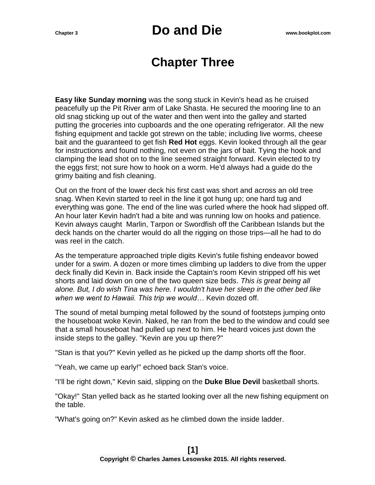### **Chapter Three**

**Easy like Sunday morning** was the song stuck in Kevin's head as he cruised peacefully up the Pit River arm of Lake Shasta. He secured the mooring line to an old snag sticking up out of the water and then went into the galley and started putting the groceries into cupboards and the one operating refrigerator. All the new fishing equipment and tackle got strewn on the table; including live worms, cheese bait and the guaranteed to get fish **Red Hot** eggs. Kevin looked through all the gear for instructions and found nothing, not even on the jars of bait. Tying the hook and clamping the lead shot on to the line seemed straight forward. Kevin elected to try the eggs first; not sure how to hook on a worm. He'd always had a guide do the grimy baiting and fish cleaning.

Out on the front of the lower deck his first cast was short and across an old tree snag. When Kevin started to reel in the line it got hung up; one hard tug and everything was gone. The end of the line was curled where the hook had slipped off. An hour later Kevin hadn't had a bite and was running low on hooks and patience. Kevin always caught Marlin, Tarpon or Swordfish off the Caribbean Islands but the deck hands on the charter would do all the rigging on those trips—all he had to do was reel in the catch.

As the temperature approached triple digits Kevin's futile fishing endeavor bowed under for a swim. A dozen or more times climbing up ladders to dive from the upper deck finally did Kevin in. Back inside the Captain's room Kevin stripped off his wet shorts and laid down on one of the two queen size beds. *This is great being all alone. But, I do wish Tina was here. I wouldn't have her sleep in the other bed like when we went to Hawaii. This trip we would…* Kevin dozed off.

The sound of metal bumping metal followed by the sound of footsteps jumping onto the houseboat woke Kevin. Naked, he ran from the bed to the window and could see that a small houseboat had pulled up next to him. He heard voices just down the inside steps to the galley. "Kevin are you up there?"

"Stan is that you?" Kevin yelled as he picked up the damp shorts off the floor.

"Yeah, we came up early!" echoed back Stan's voice.

"I'll be right down," Kevin said, slipping on the **Duke Blue Devil** basketball shorts.

"Okay!" Stan yelled back as he started looking over all the new fishing equipment on the table.

"What's going on?" Kevin asked as he climbed down the inside ladder.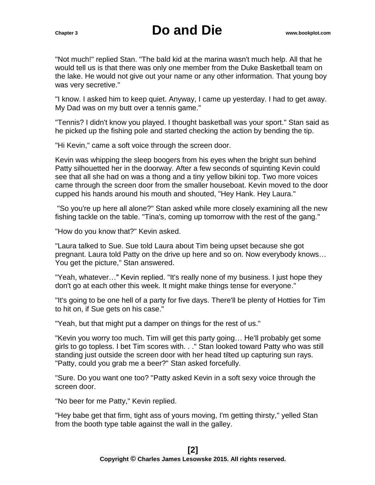"Not much!" replied Stan. "The bald kid at the marina wasn't much help. All that he would tell us is that there was only one member from the Duke Basketball team on the lake. He would not give out your name or any other information. That young boy was very secretive."

"I know. I asked him to keep quiet. Anyway, I came up yesterday. I had to get away. My Dad was on my butt over a tennis game."

"Tennis? I didn't know you played. I thought basketball was your sport." Stan said as he picked up the fishing pole and started checking the action by bending the tip.

"Hi Kevin," came a soft voice through the screen door.

Kevin was whipping the sleep boogers from his eyes when the bright sun behind Patty silhouetted her in the doorway. After a few seconds of squinting Kevin could see that all she had on was a thong and a tiny yellow bikini top. Two more voices came through the screen door from the smaller houseboat. Kevin moved to the door cupped his hands around his mouth and shouted, "Hey Hank. Hey Laura."

"So you're up here all alone?" Stan asked while more closely examining all the new fishing tackle on the table. "Tina's, coming up tomorrow with the rest of the gang."

"How do you know that?" Kevin asked.

"Laura talked to Sue. Sue told Laura about Tim being upset because she got pregnant. Laura told Patty on the drive up here and so on. Now everybody knows… You get the picture," Stan answered.

"Yeah, whatever…" Kevin replied. "It's really none of my business. I just hope they don't go at each other this week. It might make things tense for everyone."

"It's going to be one hell of a party for five days. There'll be plenty of Hotties for Tim to hit on, if Sue gets on his case."

"Yeah, but that might put a damper on things for the rest of us."

"Kevin you worry too much. Tim will get this party going… He'll probably get some girls to go topless. I bet Tim scores with. . ." Stan looked toward Patty who was still standing just outside the screen door with her head tilted up capturing sun rays. "Patty, could you grab me a beer?" Stan asked forcefully.

"Sure. Do you want one too? "Patty asked Kevin in a soft sexy voice through the screen door.

"No beer for me Patty," Kevin replied.

"Hey babe get that firm, tight ass of yours moving, I'm getting thirsty," yelled Stan from the booth type table against the wall in the galley.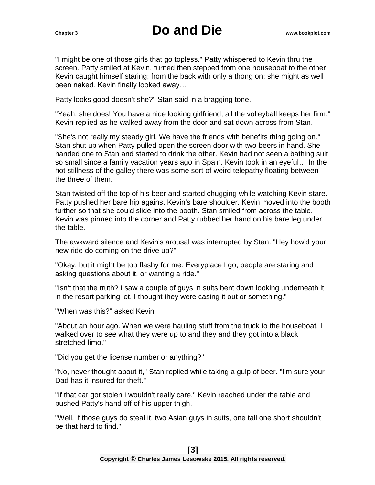"I might be one of those girls that go topless." Patty whispered to Kevin thru the screen. Patty smiled at Kevin, turned then stepped from one houseboat to the other. Kevin caught himself staring; from the back with only a thong on; she might as well been naked. Kevin finally looked away…

Patty looks good doesn't she?" Stan said in a bragging tone.

"Yeah, she does! You have a nice looking girlfriend; all the volleyball keeps her firm." Kevin replied as he walked away from the door and sat down across from Stan.

"She's not really my steady girl. We have the friends with benefits thing going on." Stan shut up when Patty pulled open the screen door with two beers in hand. She handed one to Stan and started to drink the other. Kevin had not seen a bathing suit so small since a family vacation years ago in Spain. Kevin took in an eyeful… In the hot stillness of the galley there was some sort of weird telepathy floating between the three of them.

Stan twisted off the top of his beer and started chugging while watching Kevin stare. Patty pushed her bare hip against Kevin's bare shoulder. Kevin moved into the booth further so that she could slide into the booth. Stan smiled from across the table. Kevin was pinned into the corner and Patty rubbed her hand on his bare leg under the table.

The awkward silence and Kevin's arousal was interrupted by Stan. "Hey how'd your new ride do coming on the drive up?"

"Okay, but it might be too flashy for me. Everyplace I go, people are staring and asking questions about it, or wanting a ride."

"Isn't that the truth? I saw a couple of guys in suits bent down looking underneath it in the resort parking lot. I thought they were casing it out or something."

"When was this?" asked Kevin

"About an hour ago. When we were hauling stuff from the truck to the houseboat. I walked over to see what they were up to and they and they got into a black stretched-limo."

"Did you get the license number or anything?"

"No, never thought about it," Stan replied while taking a gulp of beer. "I'm sure your Dad has it insured for theft."

"If that car got stolen I wouldn't really care." Kevin reached under the table and pushed Patty's hand off of his upper thigh.

"Well, if those guys do steal it, two Asian guys in suits, one tall one short shouldn't be that hard to find."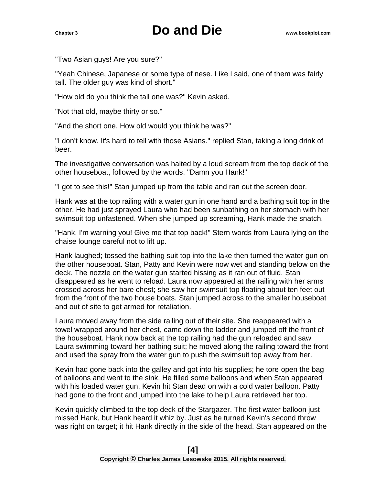"Two Asian guys! Are you sure?"

"Yeah Chinese, Japanese or some type of nese. Like I said, one of them was fairly tall. The older guy was kind of short."

"How old do you think the tall one was?" Kevin asked.

"Not that old, maybe thirty or so."

"And the short one. How old would you think he was?"

"I don't know. It's hard to tell with those Asians." replied Stan, taking a long drink of beer.

The investigative conversation was halted by a loud scream from the top deck of the other houseboat, followed by the words. "Damn you Hank!"

"I got to see this!" Stan jumped up from the table and ran out the screen door.

Hank was at the top railing with a water gun in one hand and a bathing suit top in the other. He had just sprayed Laura who had been sunbathing on her stomach with her swimsuit top unfastened. When she jumped up screaming, Hank made the snatch.

"Hank, I'm warning you! Give me that top back!" Stern words from Laura lying on the chaise lounge careful not to lift up.

Hank laughed; tossed the bathing suit top into the lake then turned the water gun on the other houseboat. Stan, Patty and Kevin were now wet and standing below on the deck. The nozzle on the water gun started hissing as it ran out of fluid. Stan disappeared as he went to reload. Laura now appeared at the railing with her arms crossed across her bare chest; she saw her swimsuit top floating about ten feet out from the front of the two house boats. Stan jumped across to the smaller houseboat and out of site to get armed for retaliation.

Laura moved away from the side railing out of their site. She reappeared with a towel wrapped around her chest, came down the ladder and jumped off the front of the houseboat. Hank now back at the top railing had the gun reloaded and saw Laura swimming toward her bathing suit; he moved along the railing toward the front and used the spray from the water gun to push the swimsuit top away from her.

Kevin had gone back into the galley and got into his supplies; he tore open the bag of balloons and went to the sink. He filled some balloons and when Stan appeared with his loaded water gun, Kevin hit Stan dead on with a cold water balloon. Patty had gone to the front and jumped into the lake to help Laura retrieved her top.

Kevin quickly climbed to the top deck of the Stargazer. The first water balloon just missed Hank, but Hank heard it whiz by. Just as he turned Kevin's second throw was right on target; it hit Hank directly in the side of the head. Stan appeared on the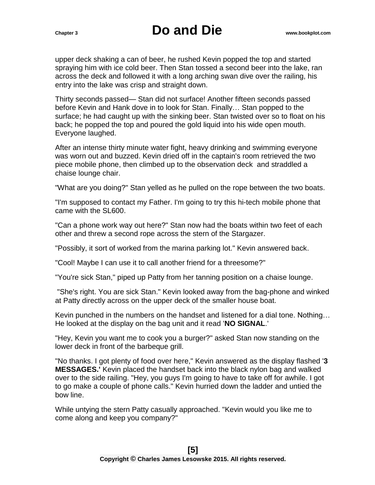upper deck shaking a can of beer, he rushed Kevin popped the top and started spraying him with ice cold beer. Then Stan tossed a second beer into the lake, ran across the deck and followed it with a long arching swan dive over the railing, his entry into the lake was crisp and straight down.

Thirty seconds passed— Stan did not surface! Another fifteen seconds passed before Kevin and Hank dove in to look for Stan. Finally… Stan popped to the surface; he had caught up with the sinking beer. Stan twisted over so to float on his back; he popped the top and poured the gold liquid into his wide open mouth. Everyone laughed.

After an intense thirty minute water fight, heavy drinking and swimming everyone was worn out and buzzed. Kevin dried off in the captain's room retrieved the two piece mobile phone, then climbed up to the observation deck and straddled a chaise lounge chair.

"What are you doing?" Stan yelled as he pulled on the rope between the two boats.

"I'm supposed to contact my Father. I'm going to try this hi-tech mobile phone that came with the SL600.

"Can a phone work way out here?" Stan now had the boats within two feet of each other and threw a second rope across the stern of the Stargazer.

"Possibly, it sort of worked from the marina parking lot." Kevin answered back.

"Cool! Maybe I can use it to call another friend for a threesome?"

"You're sick Stan," piped up Patty from her tanning position on a chaise lounge.

"She's right. You are sick Stan." Kevin looked away from the bag-phone and winked at Patty directly across on the upper deck of the smaller house boat.

Kevin punched in the numbers on the handset and listened for a dial tone. Nothing… He looked at the display on the bag unit and it read '**NO SIGNAL**.'

"Hey, Kevin you want me to cook you a burger?" asked Stan now standing on the lower deck in front of the barbeque grill.

"No thanks. I got plenty of food over here," Kevin answered as the display flashed '**3 MESSAGES.'** Kevin placed the handset back into the black nylon bag and walked over to the side railing. "Hey, you guys I'm going to have to take off for awhile. I got to go make a couple of phone calls." Kevin hurried down the ladder and untied the bow line.

While untying the stern Patty casually approached. "Kevin would you like me to come along and keep you company?"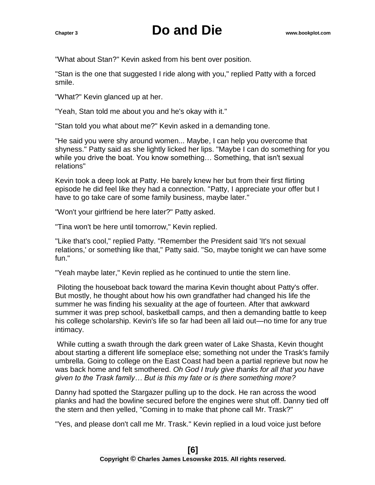"What about Stan?" Kevin asked from his bent over position.

"Stan is the one that suggested I ride along with you," replied Patty with a forced smile.

"What?" Kevin glanced up at her.

"Yeah, Stan told me about you and he's okay with it."

"Stan told you what about me?" Kevin asked in a demanding tone.

"He said you were shy around women... Maybe, I can help you overcome that shyness." Patty said as she lightly licked her lips. "Maybe I can do something for you while you drive the boat. You know something… Something, that isn't sexual relations"

Kevin took a deep look at Patty. He barely knew her but from their first flirting episode he did feel like they had a connection. "Patty, I appreciate your offer but I have to go take care of some family business, maybe later."

"Won't your girlfriend be here later?" Patty asked.

"Tina won't be here until tomorrow," Kevin replied.

"Like that's cool," replied Patty. "Remember the President said 'It's not sexual relations,' or something like that," Patty said. "So, maybe tonight we can have some fun."

"Yeah maybe later," Kevin replied as he continued to untie the stern line.

Piloting the houseboat back toward the marina Kevin thought about Patty's offer. But mostly, he thought about how his own grandfather had changed his life the summer he was finding his sexuality at the age of fourteen. After that awkward summer it was prep school, basketball camps, and then a demanding battle to keep his college scholarship. Kevin's life so far had been all laid out—no time for any true intimacy.

While cutting a swath through the dark green water of Lake Shasta, Kevin thought about starting a different life someplace else; something not under the Trask's family umbrella. Going to college on the East Coast had been a partial reprieve but now he was back home and felt smothered. *Oh God I truly give thanks for all that you have given to the Trask family… But is this my fate or is there something more?*

Danny had spotted the Stargazer pulling up to the dock. He ran across the wood planks and had the bowline secured before the engines were shut off. Danny tied off the stern and then yelled, "Coming in to make that phone call Mr. Trask?"

"Yes, and please don't call me Mr. Trask." Kevin replied in a loud voice just before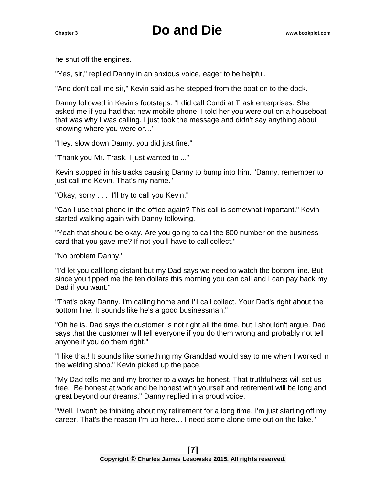he shut off the engines.

"Yes, sir," replied Danny in an anxious voice, eager to be helpful.

"And don't call me sir," Kevin said as he stepped from the boat on to the dock.

Danny followed in Kevin's footsteps. "I did call Condi at Trask enterprises. She asked me if you had that new mobile phone. I told her you were out on a houseboat that was why I was calling. I just took the message and didn't say anything about knowing where you were or…"

"Hey, slow down Danny, you did just fine."

"Thank you Mr. Trask. I just wanted to ..."

Kevin stopped in his tracks causing Danny to bump into him. "Danny, remember to just call me Kevin. That's my name."

"Okay, sorry . . . I'll try to call you Kevin."

"Can I use that phone in the office again? This call is somewhat important." Kevin started walking again with Danny following.

"Yeah that should be okay. Are you going to call the 800 number on the business card that you gave me? If not you'll have to call collect."

"No problem Danny."

"I'd let you call long distant but my Dad says we need to watch the bottom line. But since you tipped me the ten dollars this morning you can call and I can pay back my Dad if you want."

"That's okay Danny. I'm calling home and I'll call collect. Your Dad's right about the bottom line. It sounds like he's a good businessman."

"Oh he is. Dad says the customer is not right all the time, but I shouldn't argue. Dad says that the customer will tell everyone if you do them wrong and probably not tell anyone if you do them right."

"I like that! It sounds like something my Granddad would say to me when I worked in the welding shop." Kevin picked up the pace.

"My Dad tells me and my brother to always be honest. That truthfulness will set us free. Be honest at work and be honest with yourself and retirement will be long and great beyond our dreams." Danny replied in a proud voice.

"Well, I won't be thinking about my retirement for a long time. I'm just starting off my career. That's the reason I'm up here… I need some alone time out on the lake."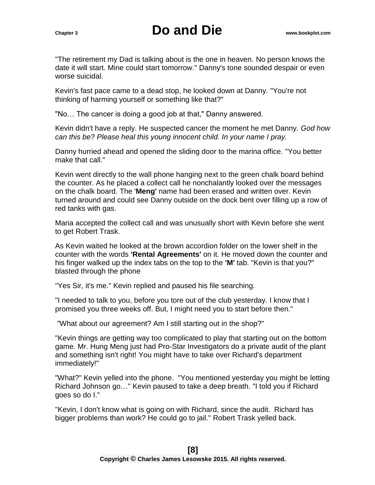"The retirement my Dad is talking about is the one in heaven. No person knows the date it will start. Mine could start tomorrow." Danny's tone sounded despair or even worse suicidal.

Kevin's fast pace came to a dead stop, he looked down at Danny. "You're not thinking of harming yourself or something like that?"

"No… The cancer is doing a good job at that," Danny answered.

Kevin didn't have a reply. He suspected cancer the moment he met Danny. *God how can this be? Please heal this young innocent child. In your name I pray.*

Danny hurried ahead and opened the sliding door to the marina office. "You better make that call."

Kevin went directly to the wall phone hanging next to the green chalk board behind the counter. As he placed a collect call he nonchalantly looked over the messages on the chalk board. The '**Meng'** name had been erased and written over. Kevin turned around and could see Danny outside on the dock bent over filling up a row of red tanks with gas.

Maria accepted the collect call and was unusually short with Kevin before she went to get Robert Trask.

As Kevin waited he looked at the brown accordion folder on the lower shelf in the counter with the words **'Rental Agreements'** on it. He moved down the counter and his finger walked up the index tabs on the top to the **'M'** tab. "Kevin is that you?" blasted through the phone

"Yes Sir, it's me." Kevin replied and paused his file searching.

"I needed to talk to you, before you tore out of the club yesterday. I know that I promised you three weeks off. But, I might need you to start before then."

"What about our agreement? Am I still starting out in the shop?"

"Kevin things are getting way too complicated to play that starting out on the bottom game. Mr. Hung Meng just had Pro-Star Investigators do a private audit of the plant and something isn't right! You might have to take over Richard's department immediately!"

"What?" Kevin yelled into the phone. "You mentioned yesterday you might be letting Richard Johnson go…" Kevin paused to take a deep breath. "I told you if Richard goes so do I."

"Kevin, I don't know what is going on with Richard, since the audit. Richard has bigger problems than work? He could go to jail." Robert Trask yelled back.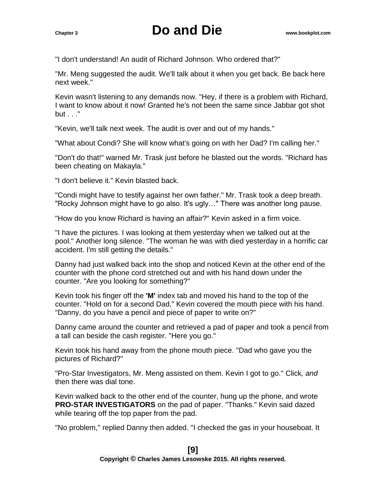"I don't understand! An audit of Richard Johnson. Who ordered that?"

"Mr. Meng suggested the audit. We'll talk about it when you get back. Be back here next week."

Kevin wasn't listening to any demands now. "Hey, if there is a problem with Richard, I want to know about it now! Granted he's not been the same since Jabbar got shot but . . ."

"Kevin, we'll talk next week. The audit is over and out of my hands."

"What about Condi? She will know what's going on with her Dad? I'm calling her."

"Don't do that!" warned Mr. Trask just before he blasted out the words. "Richard has been cheating on Makayla."

"I don't believe it." Kevin blasted back.

"Condi might have to testify against her own father." Mr. Trask took a deep breath. "Rocky Johnson might have to go also. It's ugly…" There was another long pause.

"How do you know Richard is having an affair?" Kevin asked in a firm voice.

"I have the pictures. I was looking at them yesterday when we talked out at the pool." Another long silence. "The woman he was with died yesterday in a horrific car accident. I'm still getting the details."

Danny had just walked back into the shop and noticed Kevin at the other end of the counter with the phone cord stretched out and with his hand down under the counter. "Are you looking for something?"

Kevin took his finger off the **'M'** index tab and moved his hand to the top of the counter. "Hold on for a second Dad," Kevin covered the mouth piece with his hand. "Danny, do you have a pencil and piece of paper to write on?"

Danny came around the counter and retrieved a pad of paper and took a pencil from a tall can beside the cash register. "Here you go."

Kevin took his hand away from the phone mouth piece. "Dad who gave you the pictures of Richard?"

"Pro-Star Investigators, Mr. Meng assisted on them. Kevin I got to go." Click*, and* then there was dial tone.

Kevin walked back to the other end of the counter, hung up the phone, and wrote **PRO-STAR INVESTIGATORS** on the pad of paper. "Thanks." Kevin said dazed while tearing off the top paper from the pad.

"No problem," replied Danny then added. "I checked the gas in your houseboat. It

#### **[9] Copyright © Charles James Lesowske 2015. All rights reserved.**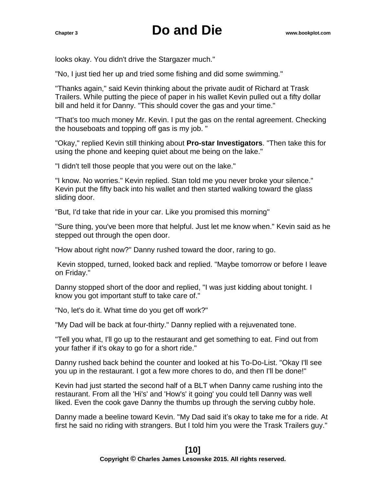looks okay. You didn't drive the Stargazer much."

"No, I just tied her up and tried some fishing and did some swimming."

"Thanks again," said Kevin thinking about the private audit of Richard at Trask Trailers. While putting the piece of paper in his wallet Kevin pulled out a fifty dollar bill and held it for Danny. "This should cover the gas and your time."

"That's too much money Mr. Kevin. I put the gas on the rental agreement. Checking the houseboats and topping off gas is my job. "

"Okay," replied Kevin still thinking about **Pro-star Investigators**. "Then take this for using the phone and keeping quiet about me being on the lake."

"I didn't tell those people that you were out on the lake."

"I know. No worries." Kevin replied. Stan told me you never broke your silence." Kevin put the fifty back into his wallet and then started walking toward the glass sliding door.

"But, I'd take that ride in your car. Like you promised this morning"

"Sure thing, you've been more that helpful. Just let me know when." Kevin said as he stepped out through the open door.

"How about right now?" Danny rushed toward the door, raring to go.

Kevin stopped, turned, looked back and replied. "Maybe tomorrow or before I leave on Friday."

Danny stopped short of the door and replied, "I was just kidding about tonight. I know you got important stuff to take care of."

"No, let's do it. What time do you get off work?"

"My Dad will be back at four-thirty." Danny replied with a rejuvenated tone.

"Tell you what, I'll go up to the restaurant and get something to eat. Find out from your father if it's okay to go for a short ride."

Danny rushed back behind the counter and looked at his To-Do-List. "Okay I'll see you up in the restaurant. I got a few more chores to do, and then I'll be done!"

Kevin had just started the second half of a BLT when Danny came rushing into the restaurant. From all the 'Hi's' and 'How's' it going' you could tell Danny was well liked. Even the cook gave Danny the thumbs up through the serving cubby hole.

Danny made a beeline toward Kevin. "My Dad said it's okay to take me for a ride. At first he said no riding with strangers. But I told him you were the Trask Trailers guy."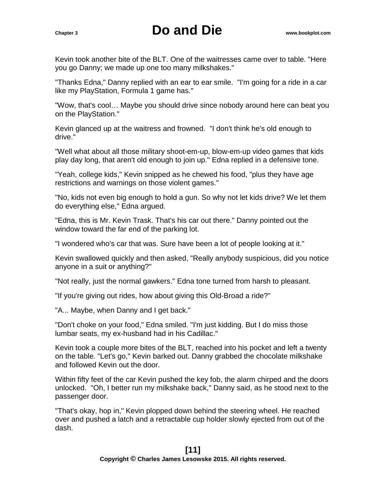Kevin took another bite of the BLT. One of the waitresses came over to table. "Here you go Danny; we made up one too many milkshakes."

"Thanks Edna," Danny replied with an ear to ear smile. "I'm going for a ride in a car like my PlayStation, Formula 1 game has."

"Wow, that's cool… Maybe you should drive since nobody around here can beat you on the PlayStation."

Kevin glanced up at the waitress and frowned. "I don't think he's old enough to drive."

"Well what about all those military shoot-em-up, blow-em-up video games that kids play day long, that aren't old enough to join up." Edna replied in a defensive tone.

"Yeah, college kids," Kevin snipped as he chewed his food, "plus they have age restrictions and warnings on those violent games."

"No, kids not even big enough to hold a gun. So why not let kids drive? We let them do everything else," Edna argued.

"Edna, this is Mr. Kevin Trask. That's his car out there." Danny pointed out the window toward the far end of the parking lot.

"I wondered who's car that was. Sure have been a lot of people looking at it."

Kevin swallowed quickly and then asked, "Really anybody suspicious, did you notice anyone in a suit or anything?"

"Not really, just the normal gawkers." Edna tone turned from harsh to pleasant.

"If you're giving out rides, how about giving this Old-Broad a ride?"

"A... Maybe, when Danny and I get back."

"Don't choke on your food," Edna smiled. "I'm just kidding. But I do miss those lumbar seats, my ex-husband had in his Cadillac."

Kevin took a couple more bites of the BLT, reached into his pocket and left a twenty on the table. "Let's go," Kevin barked out. Danny grabbed the chocolate milkshake and followed Kevin out the door.

Within fifty feet of the car Kevin pushed the key fob, the alarm chirped and the doors unlocked. "Oh, I better run my milkshake back," Danny said, as he stood next to the passenger door.

"That's okay, hop in," Kevin plopped down behind the steering wheel. He reached over and pushed a latch and a retractable cup holder slowly ejected from out of the dash.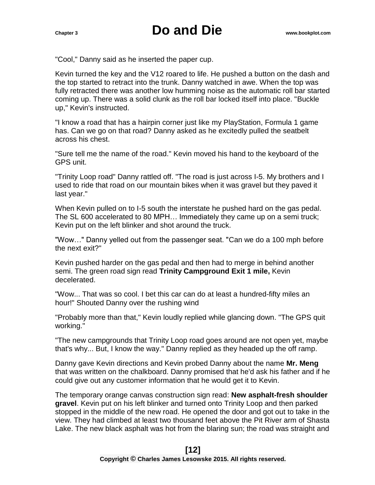"Cool," Danny said as he inserted the paper cup.

Kevin turned the key and the V12 roared to life. He pushed a button on the dash and the top started to retract into the trunk. Danny watched in awe. When the top was fully retracted there was another low humming noise as the automatic roll bar started coming up. There was a solid clunk as the roll bar locked itself into place. "Buckle up," Kevin's instructed.

"I know a road that has a hairpin corner just like my PlayStation, Formula 1 game has. Can we go on that road? Danny asked as he excitedly pulled the seatbelt across his chest.

"Sure tell me the name of the road." Kevin moved his hand to the keyboard of the GPS unit.

"Trinity Loop road" Danny rattled off. "The road is just across I-5. My brothers and I used to ride that road on our mountain bikes when it was gravel but they paved it last year."

When Kevin pulled on to I-5 south the interstate he pushed hard on the gas pedal. The SL 600 accelerated to 80 MPH… Immediately they came up on a semi truck; Kevin put on the left blinker and shot around the truck.

"Wow…" Danny yelled out from the passenger seat. "Can we do a 100 mph before the next exit?"

Kevin pushed harder on the gas pedal and then had to merge in behind another semi. The green road sign read **Trinity Campground Exit 1 mile,** Kevin decelerated.

"Wow... That was so cool. I bet this car can do at least a hundred-fifty miles an hour!" Shouted Danny over the rushing wind

"Probably more than that," Kevin loudly replied while glancing down. "The GPS quit working."

"The new campgrounds that Trinity Loop road goes around are not open yet, maybe that's why... But, I know the way." Danny replied as they headed up the off ramp.

Danny gave Kevin directions and Kevin probed Danny about the name **Mr. Meng** that was written on the chalkboard. Danny promised that he'd ask his father and if he could give out any customer information that he would get it to Kevin.

The temporary orange canvas construction sign read: **New asphalt-fresh shoulder gravel**. Kevin put on his left blinker and turned onto Trinity Loop and then parked stopped in the middle of the new road. He opened the door and got out to take in the view. They had climbed at least two thousand feet above the Pit River arm of Shasta Lake. The new black asphalt was hot from the blaring sun; the road was straight and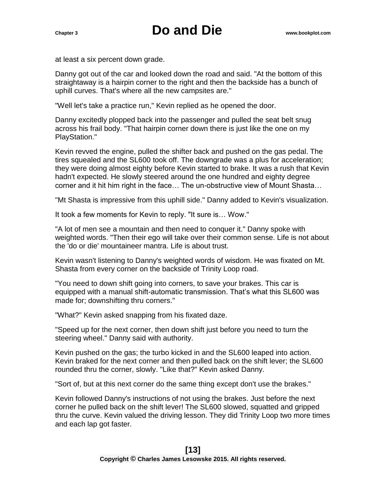at least a six percent down grade.

Danny got out of the car and looked down the road and said. "At the bottom of this straightaway is a hairpin corner to the right and then the backside has a bunch of uphill curves. That's where all the new campsites are."

"Well let's take a practice run," Kevin replied as he opened the door.

Danny excitedly plopped back into the passenger and pulled the seat belt snug across his frail body. "That hairpin corner down there is just like the one on my PlayStation."

Kevin revved the engine, pulled the shifter back and pushed on the gas pedal. The tires squealed and the SL600 took off. The downgrade was a plus for acceleration; they were doing almost eighty before Kevin started to brake. It was a rush that Kevin hadn't expected. He slowly steered around the one hundred and eighty degree corner and it hit him right in the face… The un-obstructive view of Mount Shasta…

"Mt Shasta is impressive from this uphill side." Danny added to Kevin's visualization.

It took a few moments for Kevin to reply. "It sure is… Wow."

"A lot of men see a mountain and then need to conquer it." Danny spoke with weighted words. "Then their ego will take over their common sense. Life is not about the 'do or die' mountaineer mantra. Life is about trust.

Kevin wasn't listening to Danny's weighted words of wisdom. He was fixated on Mt. Shasta from every corner on the backside of Trinity Loop road.

"You need to down shift going into corners, to save your brakes. This car is equipped with a manual shift-automatic transmission. That's what this SL600 was made for; downshifting thru corners."

"What?" Kevin asked snapping from his fixated daze.

"Speed up for the next corner, then down shift just before you need to turn the steering wheel." Danny said with authority.

Kevin pushed on the gas; the turbo kicked in and the SL600 leaped into action. Kevin braked for the next corner and then pulled back on the shift lever; the SL600 rounded thru the corner, slowly. "Like that?" Kevin asked Danny.

"Sort of, but at this next corner do the same thing except don't use the brakes."

Kevin followed Danny's instructions of not using the brakes. Just before the next corner he pulled back on the shift lever! The SL600 slowed, squatted and gripped thru the curve. Kevin valued the driving lesson. They did Trinity Loop two more times and each lap got faster.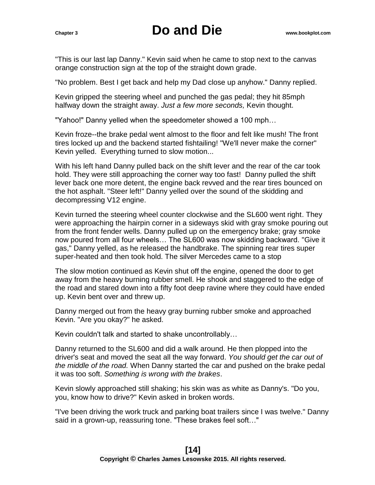"This is our last lap Danny." Kevin said when he came to stop next to the canvas orange construction sign at the top of the straight down grade.

"No problem. Best I get back and help my Dad close up anyhow." Danny replied.

Kevin gripped the steering wheel and punched the gas pedal; they hit 85mph halfway down the straight away. *Just a few more seconds,* Kevin thought.

"Yahoo!" Danny yelled when the speedometer showed a 100 mph…

Kevin froze--the brake pedal went almost to the floor and felt like mush! The front tires locked up and the backend started fishtailing! "We'll never make the corner" Kevin yelled. Everything turned to slow motion...

With his left hand Danny pulled back on the shift lever and the rear of the car took hold. They were still approaching the corner way too fast! Danny pulled the shift lever back one more detent, the engine back revved and the rear tires bounced on the hot asphalt. "Steer left!" Danny yelled over the sound of the skidding and decompressing V12 engine.

Kevin turned the steering wheel counter clockwise and the SL600 went right. They were approaching the hairpin corner in a sideways skid with gray smoke pouring out from the front fender wells. Danny pulled up on the emergency brake; gray smoke now poured from all four wheels… The SL600 was now skidding backward. "Give it gas," Danny yelled, as he released the handbrake. The spinning rear tires super super-heated and then took hold. The silver Mercedes came to a stop

The slow motion continued as Kevin shut off the engine, opened the door to get away from the heavy burning rubber smell. He shook and staggered to the edge of the road and stared down into a fifty foot deep ravine where they could have ended up. Kevin bent over and threw up.

Danny merged out from the heavy gray burning rubber smoke and approached Kevin. "Are you okay?" he asked.

Kevin couldn't talk and started to shake uncontrollably…

Danny returned to the SL600 and did a walk around. He then plopped into the driver's seat and moved the seat all the way forward. *You should get the car out of the middle of the road.* When Danny started the car and pushed on the brake pedal it was too soft. *Something is wrong with the brakes*.

Kevin slowly approached still shaking; his skin was as white as Danny's. "Do you, you, know how to drive?" Kevin asked in broken words.

"I've been driving the work truck and parking boat trailers since I was twelve." Danny said in a grown-up, reassuring tone. "These brakes feel soft…"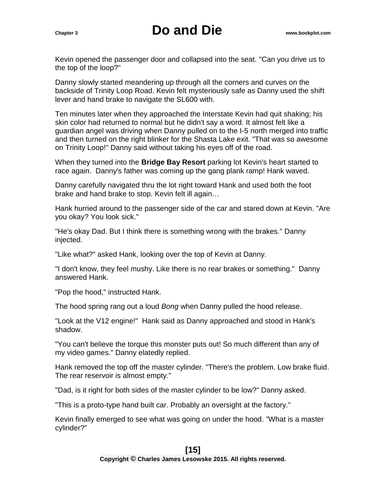Kevin opened the passenger door and collapsed into the seat. "Can you drive us to the top of the loop?"

Danny slowly started meandering up through all the corners and curves on the backside of Trinity Loop Road. Kevin felt mysteriously safe as Danny used the shift lever and hand brake to navigate the SL600 with.

Ten minutes later when they approached the Interstate Kevin had quit shaking; his skin color had returned to normal but he didn't say a word. It almost felt like a guardian angel was driving when Danny pulled on to the I-5 north merged into traffic and then turned on the right blinker for the Shasta Lake exit. "That was so awesome on Trinity Loop!" Danny said without taking his eyes off of the road.

When they turned into the **Bridge Bay Resort** parking lot Kevin's heart started to race again. Danny's father was coming up the gang plank ramp! Hank waved.

Danny carefully navigated thru the lot right toward Hank and used both the foot brake and hand brake to stop. Kevin felt ill again…

Hank hurried around to the passenger side of the car and stared down at Kevin. "Are you okay? You look sick."

"He's okay Dad. But I think there is something wrong with the brakes." Danny injected.

"Like what?" asked Hank, looking over the top of Kevin at Danny.

"I don't know, they feel mushy. Like there is no rear brakes or something." Danny answered Hank.

"Pop the hood," instructed Hank.

The hood spring rang out a loud *Bong* when Danny pulled the hood release.

"Look at the V12 engine!" Hank said as Danny approached and stood in Hank's shadow.

"You can't believe the torque this monster puts out! So much different than any of my video games." Danny elatedly replied.

Hank removed the top off the master cylinder. "There's the problem. Low brake fluid. The rear reservoir is almost empty."

"Dad, is it right for both sides of the master cylinder to be low?" Danny asked.

"This is a proto-type hand built car. Probably an oversight at the factory."

Kevin finally emerged to see what was going on under the hood. "What is a master cylinder?"

### **[15]**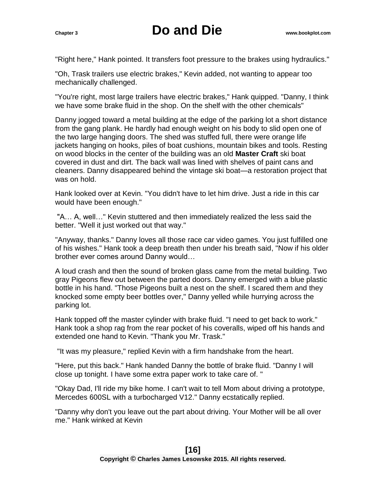"Right here," Hank pointed. It transfers foot pressure to the brakes using hydraulics."

"Oh, Trask trailers use electric brakes," Kevin added, not wanting to appear too mechanically challenged.

"You're right, most large trailers have electric brakes," Hank quipped. "Danny, I think we have some brake fluid in the shop. On the shelf with the other chemicals"

Danny jogged toward a metal building at the edge of the parking lot a short distance from the gang plank. He hardly had enough weight on his body to slid open one of the two large hanging doors. The shed was stuffed full, there were orange life jackets hanging on hooks, piles of boat cushions, mountain bikes and tools. Resting on wood blocks in the center of the building was an old **Master Craft** ski boat covered in dust and dirt. The back wall was lined with shelves of paint cans and cleaners. Danny disappeared behind the vintage ski boat—a restoration project that was on hold.

Hank looked over at Kevin. "You didn't have to let him drive. Just a ride in this car would have been enough."

"A… A, well…" Kevin stuttered and then immediately realized the less said the better. "Well it just worked out that way."

"Anyway, thanks." Danny loves all those race car video games. You just fulfilled one of his wishes." Hank took a deep breath then under his breath said, "Now if his older brother ever comes around Danny would…

A loud crash and then the sound of broken glass came from the metal building. Two gray Pigeons flew out between the parted doors. Danny emerged with a blue plastic bottle in his hand. "Those Pigeons built a nest on the shelf. I scared them and they knocked some empty beer bottles over," Danny yelled while hurrying across the parking lot.

Hank topped off the master cylinder with brake fluid. "I need to get back to work." Hank took a shop rag from the rear pocket of his coveralls, wiped off his hands and extended one hand to Kevin. "Thank you Mr. Trask."

"It was my pleasure," replied Kevin with a firm handshake from the heart.

"Here, put this back." Hank handed Danny the bottle of brake fluid. "Danny I will close up tonight. I have some extra paper work to take care of. "

"Okay Dad, I'll ride my bike home. I can't wait to tell Mom about driving a prototype, Mercedes 600SL with a turbocharged V12." Danny ecstatically replied.

"Danny why don't you leave out the part about driving. Your Mother will be all over me." Hank winked at Kevin